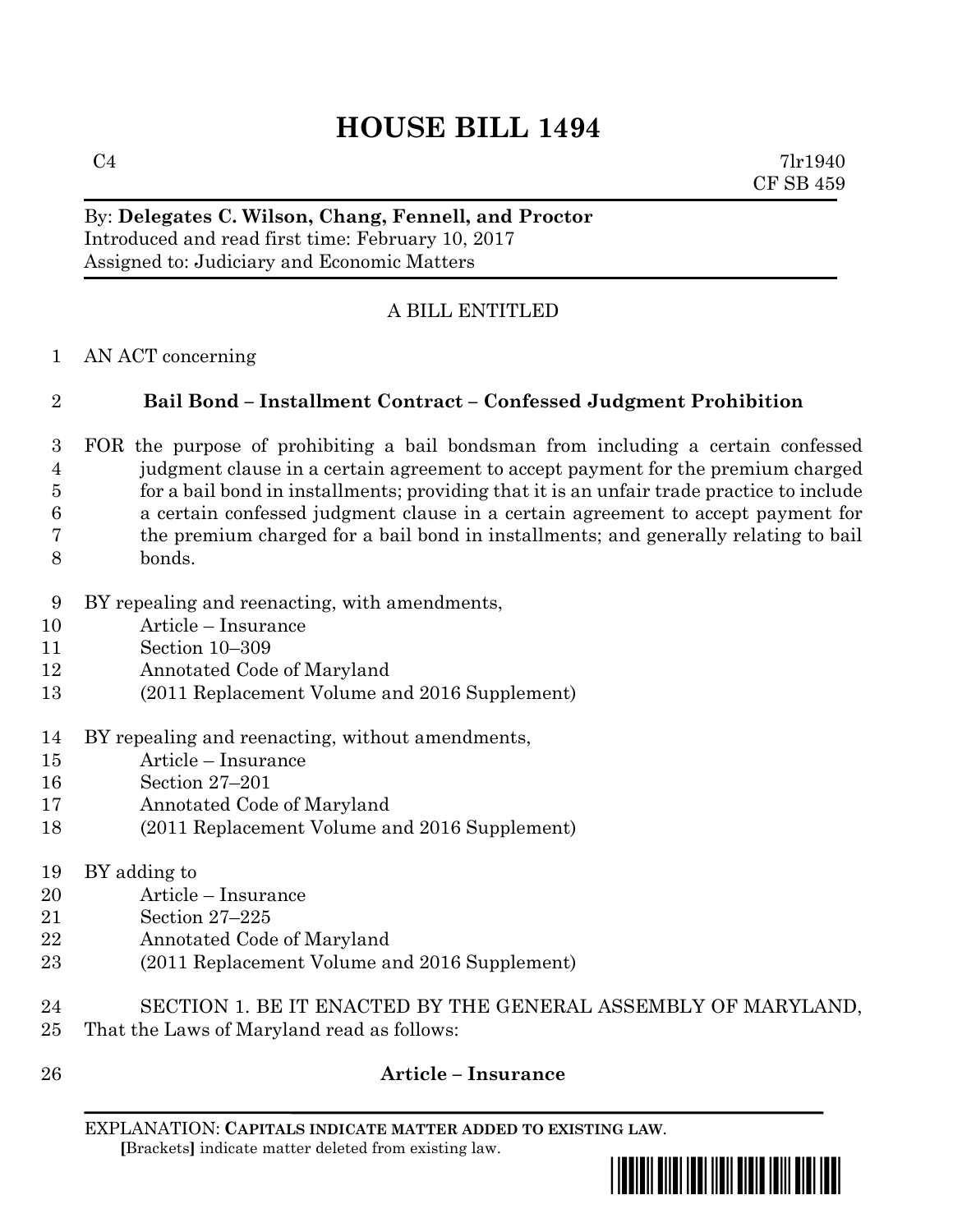# **HOUSE BILL 1494**

 $C4$  7lr1940 CF SB 459

#### By: **Delegates C. Wilson, Chang, Fennell, and Proctor** Introduced and read first time: February 10, 2017 Assigned to: Judiciary and Economic Matters

## A BILL ENTITLED

AN ACT concerning

## **Bail Bond – Installment Contract – Confessed Judgment Prohibition**

- FOR the purpose of prohibiting a bail bondsman from including a certain confessed judgment clause in a certain agreement to accept payment for the premium charged for a bail bond in installments; providing that it is an unfair trade practice to include a certain confessed judgment clause in a certain agreement to accept payment for the premium charged for a bail bond in installments; and generally relating to bail bonds.
- BY repealing and reenacting, with amendments,
- Article Insurance
- Section 10–309
- Annotated Code of Maryland
- (2011 Replacement Volume and 2016 Supplement)
- BY repealing and reenacting, without amendments,
- Article Insurance
- Section 27–201
- Annotated Code of Maryland
- (2011 Replacement Volume and 2016 Supplement)
- BY adding to
- Article Insurance
- Section 27–225
- Annotated Code of Maryland
- (2011 Replacement Volume and 2016 Supplement)
- SECTION 1. BE IT ENACTED BY THE GENERAL ASSEMBLY OF MARYLAND, That the Laws of Maryland read as follows:
- 

# **Article – Insurance**

EXPLANATION: **CAPITALS INDICATE MATTER ADDED TO EXISTING LAW**.  **[**Brackets**]** indicate matter deleted from existing law.

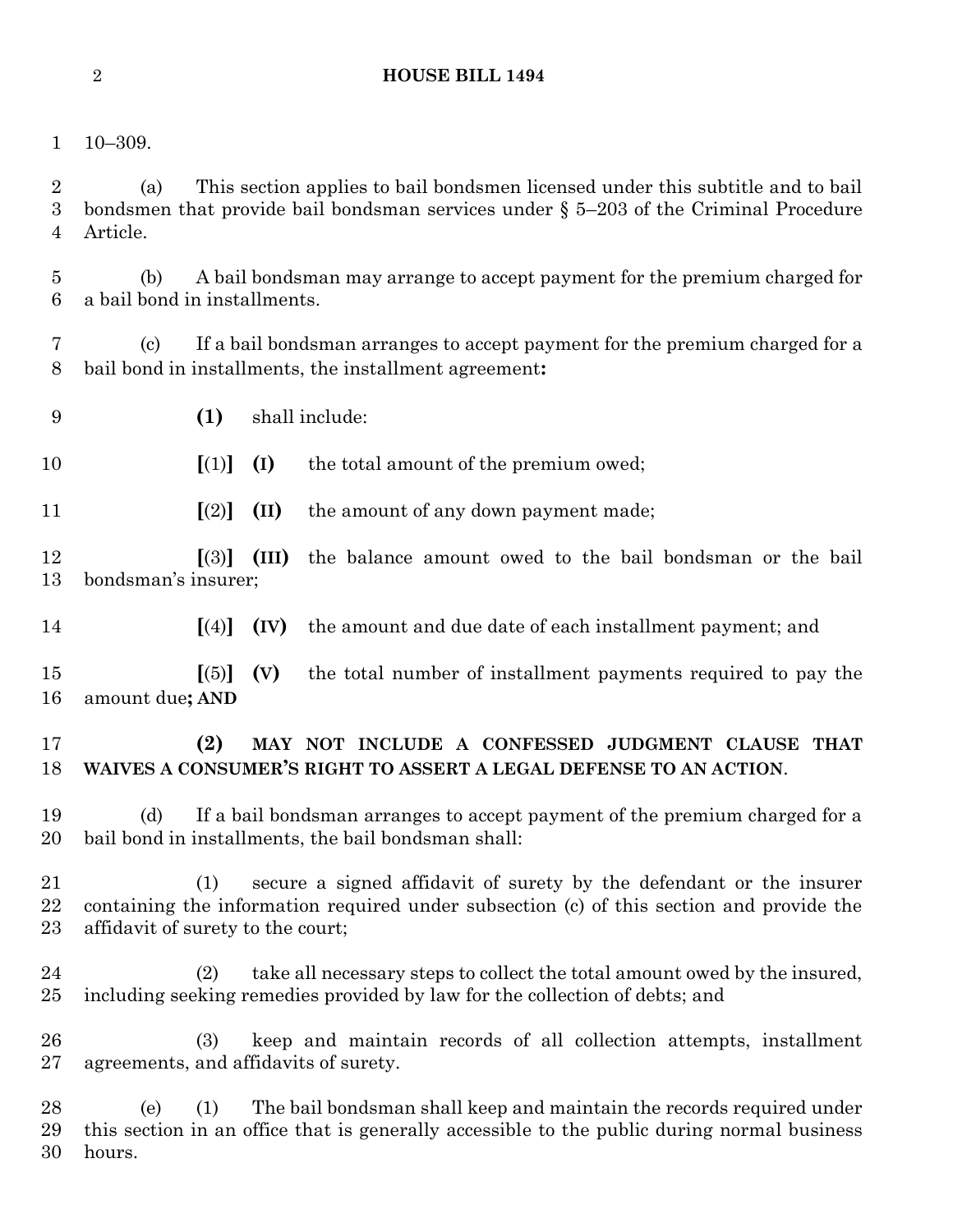#### **HOUSE BILL 1494**

10–309.

 (a) This section applies to bail bondsmen licensed under this subtitle and to bail bondsmen that provide bail bondsman services under § 5–203 of the Criminal Procedure Article.

 (b) A bail bondsman may arrange to accept payment for the premium charged for a bail bond in installments.

 (c) If a bail bondsman arranges to accept payment for the premium charged for a bail bond in installments, the installment agreement**:**

**(1)** shall include:

**[**(1)**] (I)** the total amount of the premium owed;

**[**(2)**] (II)** the amount of any down payment made;

 **[**(3)**] (III)** the balance amount owed to the bail bondsman or the bail bondsman's insurer;

**[**(4)**] (IV)** the amount and due date of each installment payment; and

 **[**(5)**] (V)** the total number of installment payments required to pay the amount due**; AND**

#### **(2) MAY NOT INCLUDE A CONFESSED JUDGMENT CLAUSE THAT WAIVES A CONSUMER'S RIGHT TO ASSERT A LEGAL DEFENSE TO AN ACTION**.

 (d) If a bail bondsman arranges to accept payment of the premium charged for a bail bond in installments, the bail bondsman shall:

 (1) secure a signed affidavit of surety by the defendant or the insurer containing the information required under subsection (c) of this section and provide the affidavit of surety to the court;

 (2) take all necessary steps to collect the total amount owed by the insured, including seeking remedies provided by law for the collection of debts; and

 (3) keep and maintain records of all collection attempts, installment agreements, and affidavits of surety.

 (e) (1) The bail bondsman shall keep and maintain the records required under this section in an office that is generally accessible to the public during normal business hours.